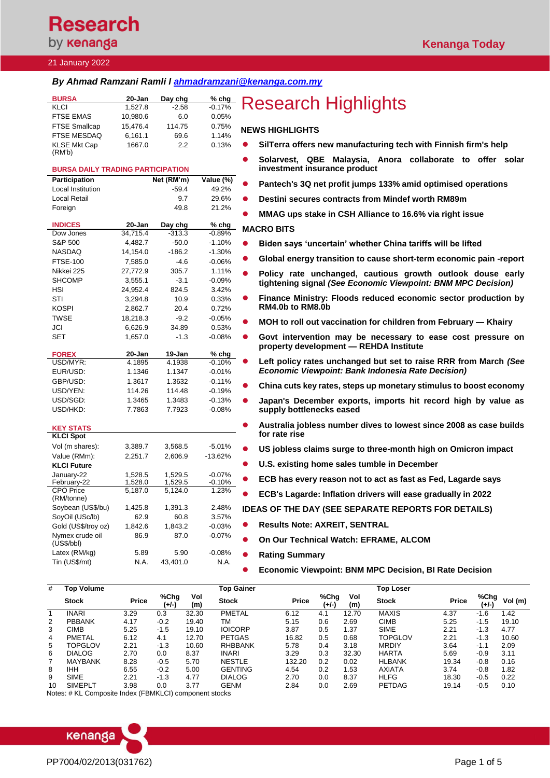## **Research** by **kenanga**

#### 21 January 2022

## *By Ahmad Ramzani Ramli l [ahmadramzani@kenanga.com.my](mailto:ahmadramzani@kenanga.com.my)*

| <b>BURSA</b>         | 20-Jan   | Day chg | $%$ chg  |           |
|----------------------|----------|---------|----------|-----------|
| KLCI                 | 1.527.8  | $-2.58$ | $-0.17%$ | F         |
| <b>FTSE EMAS</b>     | 10.980.6 | 6.0     | 0.05%    |           |
| <b>FTSE Smallcap</b> | 15.476.4 | 114.75  | 0.75%    | <b>NE</b> |
| <b>FTSE MESDAQ</b>   | 6,161.1  | 69.6    | 1.14%    |           |
| <b>KLSE Mkt Cap</b>  | 1667.0   | 2.2     | 0.13%    |           |
| (RM'b)               |          |         |          |           |

### **BURSA DAILY TRADING PARTICIPATION**

| Participation                        |                    | Net (RM'm)         | Value (%)            |
|--------------------------------------|--------------------|--------------------|----------------------|
| <b>Local Institution</b>             |                    | $-59.4$            | 49.2%                |
| <b>Local Retail</b>                  |                    | 9.7                | 29.6%                |
| Foreign                              |                    | 49.8               | 21.2%                |
|                                      |                    |                    |                      |
| <b>INDICES</b>                       | 20-Jan             | Day chg            | % chg                |
| Dow Jones                            | 34,715.4           | $-313.3$           | $-0.89%$             |
| S&P 500                              | 4,482.7            | $-50.0$            | $-1.10%$             |
| <b>NASDAQ</b>                        | 14,154.0           | $-186.2$           | $-1.30%$             |
| <b>FTSE-100</b>                      | 7,585.0            | $-4.6$             | $-0.06%$             |
| Nikkei 225                           | 27,772.9           | 305.7              | 1.11%                |
| <b>SHCOMP</b>                        | 3,555.1            | $-3.1$             | $-0.09%$             |
| HSI                                  | 24,952.4           | 824.5              | 3.42%                |
| STI                                  | 3,294.8            | 10.9               | 0.33%                |
| KOSPI                                | 2,862.7            | 20.4               | 0.72%                |
| <b>TWSE</b>                          | 18,218.3           | $-9.2$             | $-0.05%$             |
| JCI                                  | 6,626.9            | 34.89              | 0.53%                |
| <b>SET</b>                           | 1,657.0            | $-1.3$             | $-0.08%$             |
|                                      |                    |                    |                      |
| <b>FOREX</b>                         | 20-Jan             | 19-Jan             | % chg                |
| USD/MYR:                             | 4.1895             | 4.1938             | $-0.10%$             |
| EUR/USD:                             | 1.1346             | 1.1347             | $-0.01%$             |
| GBP/USD:                             | 1.3617             | 1.3632             | $-0.11%$             |
| USD/YEN:                             | 114.26             | 114.48             | $-0.19%$             |
| USD/SGD:                             | 1.3465             | 1.3483             | $-0.13%$             |
| USD/HKD:                             | 7.7863             | 7.7923             | $-0.08%$             |
|                                      |                    |                    |                      |
| <b>KEY STATS</b><br><b>KLCI Spot</b> |                    |                    |                      |
|                                      |                    |                    |                      |
| Vol (m shares):                      | 3,389.7            | 3,568.5            | $-5.01%$             |
| Value (RMm):                         | 2,251.7            | 2,606.9            | $-13.62%$            |
| <b>KLCI Future</b>                   |                    |                    |                      |
| January-22                           | 1,528.5            | 1,529.5            | $-0.07%$<br>$-0.10%$ |
| February-22<br><b>CPO</b> Price      | 1,528.0<br>5,187.0 | 1,529.5<br>5,124.0 | 1.23%                |
| (RM/tonne)                           |                    |                    |                      |
| Soybean (US\$/bu)                    | 1,425.8            | 1,391.3            | 2.48%                |
| SoyOil (USc/lb)                      | 62.9               | 60.8               | 3.57%                |
| Gold (US\$/troy oz)                  | 1,842.6            | 1,843.2            | $-0.03%$             |
| Nymex crude oil                      | 86.9               | 87.0               | $-0.07%$             |
| (US\$/bbI)                           |                    |                    |                      |
| Latex (RM/kg)                        | 5.89               | 5.90               | $-0.08%$             |
| Tin (US\$/mt)                        | N.A.               | 43,401.0           | N.A.                 |
|                                      |                    |                    |                      |

# **Research Highlights**

#### **NEWS HIGHLIGHTS**

- ⚫ **SilTerra offers new manufacturing tech with Finnish firm's help**
- ⚫ **Solarvest, QBE Malaysia, Anora collaborate to offer solar investment insurance product**
- ⚫ **Pantech's 3Q net profit jumps 133% amid optimised operations**
- ⚫ **Destini secures contracts from Mindef worth RM89m**
- ⚫ **MMAG ups stake in CSH Alliance to 16.6% via right issue**

### **MACRO BITS**

- ⚫ **[Biden says 'uncertain' whether China tariffs will be lifted](https://www.theedgemarkets.com/article/biden-says-uncertain-whether-china-tariffs-will-be-lifted)**
- ⚫ **[Global energy transition to cause short-term economic pain -report](https://www.reuters.com/business/energy/global-energy-transition-cause-short-term-economic-pain-report-2022-01-20/)**
- ⚫ **Policy rate unchanged, cautious growth outlook douse early tightening signal** *(See Economic Viewpoint: BNM MPC Decision)*
- ⚫ **[Finance Ministry: Floods reduced economic sector production by](https://www.theedgemarkets.com/article/finance-ministry-floods-reduced-economic-sector-production-rm4b-rm8b)  [RM4.0b to](https://www.theedgemarkets.com/article/finance-ministry-floods-reduced-economic-sector-production-rm4b-rm8b) RM8.0b**
- ⚫ **[MOH to roll out vaccination for children from February —](https://www.theedgemarkets.com/article/moh-roll-out-vaccination-children-february-%E2%80%94-khairy) Khairy**
- ⚫ **[Govt intervention may be necessary to ease cost pressure on](https://www.theedgemarkets.com/article/govt-intervention-may-be-necessary-ease-cost-pressure-property-development-%E2%80%94-rehda-institute)  [property development —](https://www.theedgemarkets.com/article/govt-intervention-may-be-necessary-ease-cost-pressure-property-development-%E2%80%94-rehda-institute) REHDA Institute**
- ⚫ **Left policy rates unchanged but set to raise RRR from March** *(See Economic Viewpoint: Bank Indonesia Rate Decision)*
- ⚫ **[China cuts key rates, steps up monetary stimulus to boost economy](https://www.reuters.com/markets/europe/china-cuts-mortgage-reference-rate-first-time-nearly-two-years-2022-01-20/)**
- ⚫ **[Japan's December exports, imports hit record high by value as](https://www.theedgemarkets.com/article/japans-december-exports-grew-faster-expected)  [supply bottlenecks eased](https://www.theedgemarkets.com/article/japans-december-exports-grew-faster-expected)**
- ⚫ **[Australia jobless number dives to lowest since 2008 as case builds](https://www.theedgemarkets.com/article/australia-jobless-number-dives-lowest-2008-case-builds-rate-rise)  [for rate rise](https://www.theedgemarkets.com/article/australia-jobless-number-dives-lowest-2008-case-builds-rate-rise)**
- ⚫ **[US jobless claims surge to three-month high on Omicron impact](https://www.theedgemarkets.com/article/us-jobless-claims-surge-threemonth-high-omicron-impact)**
- ⚫ **[U.S. existing home sales tumble in December](https://www.reuters.com/world/us/us-existing-home-sales-tumble-december-2022-01-20/)**
- ⚫ **[ECB has every reason not to act as fast as Fed, Lagarde says](https://www.theedgemarkets.com/article/ecb-has-every-reason-not-act-fast-fed-lagarde-says)**
- ⚫ **[ECB's Lagarde: Inflation drivers will ease gradually in 2022](https://www.theedgemarkets.com/article/ecbs-lagarde-inflation-drivers-will-ease-gradually-2022)**

**IDEAS OF THE DAY (SEE SEPARATE REPORTS FOR DETAILS)**

- ⚫ **Results Note: AXREIT, SENTRAL**
- ⚫ **On Our Technical Watch: EFRAME, ALCOM**
- ⚫ **Rating Summary**

⚫ **Economic Viewpoint: BNM MPC Decision, BI Rate Decision**

| #  | <b>Top Volume</b> |              |               |            | <b>Top Gainer</b> |        |               |            | <b>Top Loser</b> |              |               |         |
|----|-------------------|--------------|---------------|------------|-------------------|--------|---------------|------------|------------------|--------------|---------------|---------|
|    | <b>Stock</b>      | <b>Price</b> | %Chg<br>(+/-) | Vol<br>(m) | <b>Stock</b>      | Price  | %Chg<br>(+/-) | Vol<br>(m) | <b>Stock</b>     | <b>Price</b> | %Chg<br>(+/-) | Vol (m) |
|    | <b>INARI</b>      | 3.29         | 0.3           | 32.30      | <b>PMETAL</b>     | 6.12   | 4.1           | 12.70      | <b>MAXIS</b>     | 4.37         | $-1.6$        | .42     |
| 2  | <b>PBBANK</b>     | 4.17         | $-0.2$        | 19.40      | ТM                | 5.15   | 0.6           | 2.69       | <b>CIMB</b>      | 5.25         | $-1.5$        | 19.10   |
| 3  | <b>CIMB</b>       | 5.25         | $-1.5$        | 19.10      | <b>IOICORP</b>    | 3.87   | 0.5           | 1.37       | <b>SIME</b>      | 2.21         | $-1.3$        | 4.77    |
| 4  | <b>PMETAL</b>     | 6.12         | 4.1           | 12.70      | <b>PETGAS</b>     | 16.82  | 0.5           | 0.68       | <b>TOPGLOV</b>   | 2.21         | $-1.3$        | 10.60   |
| 5  | TOPGLOV           | 2.21         | $-1.3$        | 10.60      | <b>RHBBANK</b>    | 5.78   | 0.4           | 3.18       | <b>MRDIY</b>     | 3.64         | $-1.1$        | 2.09    |
| 6  | <b>DIALOG</b>     | 2.70         | 0.0           | 8.37       | <b>INARI</b>      | 3.29   | 0.3           | 32.30      | <b>HARTA</b>     | 5.69         | $-0.9$        | 3.11    |
|    | <b>MAYBANK</b>    | 8.28         | $-0.5$        | 5.70       | <b>NESTLE</b>     | 132.20 | 0.2           | 0.02       | <b>HLBANK</b>    | 19.34        | $-0.8$        | 0.16    |
| 8  | <b>IHH</b>        | 6.55         | $-0.2$        | 5.00       | <b>GENTING</b>    | 4.54   | 0.2           | 1.53       | <b>AXIATA</b>    | 3.74         | $-0.8$        | 1.82    |
| 9  | <b>SIME</b>       | 2.21         | $-1.3$        | 4.77       | <b>DIALOG</b>     | 2.70   | 0.0           | 8.37       | <b>HLFG</b>      | 18.30        | $-0.5$        | 0.22    |
| 10 | <b>SIMEPLT</b>    | 3.98         | 0.0           | 3.77       | <b>GENM</b>       | 2.84   | 0.0           | 2.69       | <b>PETDAG</b>    | 19.14        | $-0.5$        | 0.10    |

Notes: # KL Composite Index (FBMKLCI) component stocks

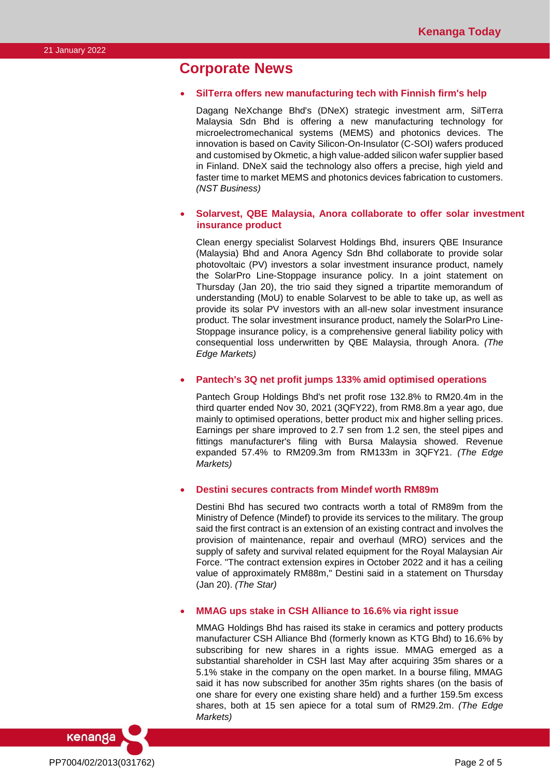## **Corporate News**

#### • **SilTerra offers new manufacturing tech with Finnish firm's help**

Dagang NeXchange Bhd's (DNeX) strategic investment arm, SilTerra Malaysia Sdn Bhd is offering a new manufacturing technology for microelectromechanical systems (MEMS) and photonics devices. The innovation is based on Cavity Silicon-On-Insulator (C-SOI) wafers produced and customised by Okmetic, a high value-added silicon wafer supplier based in Finland. DNeX said the technology also offers a precise, high yield and faster time to market MEMS and photonics devices fabrication to customers. *(NST Business)*

## • **Solarvest, QBE Malaysia, Anora collaborate to offer solar investment insurance product**

Clean energy specialist Solarvest Holdings Bhd, insurers QBE Insurance (Malaysia) Bhd and Anora Agency Sdn Bhd collaborate to provide solar photovoltaic (PV) investors a solar investment insurance product, namely the SolarPro Line-Stoppage insurance policy. In a joint statement on Thursday (Jan 20), the trio said they signed a tripartite memorandum of understanding (MoU) to enable Solarvest to be able to take up, as well as provide its solar PV investors with an all-new solar investment insurance product. The solar investment insurance product, namely the SolarPro Line-Stoppage insurance policy, is a comprehensive general liability policy with consequential loss underwritten by QBE Malaysia, through Anora. *(The Edge Markets)*

### • **Pantech's 3Q net profit jumps 133% amid optimised operations**

Pantech Group Holdings Bhd's net profit rose 132.8% to RM20.4m in the third quarter ended Nov 30, 2021 (3QFY22), from RM8.8m a year ago, due mainly to optimised operations, better product mix and higher selling prices. Earnings per share improved to 2.7 sen from 1.2 sen, the steel pipes and fittings manufacturer's filing with Bursa Malaysia showed. Revenue expanded 57.4% to RM209.3m from RM133m in 3QFY21. *(The Edge Markets)*

### • **Destini secures contracts from Mindef worth RM89m**

Destini Bhd has secured two contracts worth a total of RM89m from the Ministry of Defence (Mindef) to provide its services to the military. The group said the first contract is an extension of an existing contract and involves the provision of maintenance, repair and overhaul (MRO) services and the supply of safety and survival related equipment for the Royal Malaysian Air Force. "The contract extension expires in October 2022 and it has a ceiling value of approximately RM88m," Destini said in a statement on Thursday (Jan 20). *(The Star)*

### • **MMAG ups stake in CSH Alliance to 16.6% via right issue**

MMAG Holdings Bhd has raised its stake in ceramics and pottery products manufacturer CSH Alliance Bhd (formerly known as KTG Bhd) to 16.6% by subscribing for new shares in a rights issue. MMAG emerged as a substantial shareholder in CSH last May after acquiring 35m shares or a 5.1% stake in the company on the open market. In a bourse filing, MMAG said it has now subscribed for another 35m rights shares (on the basis of one share for every one existing share held) and a further 159.5m excess shares, both at 15 sen apiece for a total sum of RM29.2m. *(The Edge Markets)*

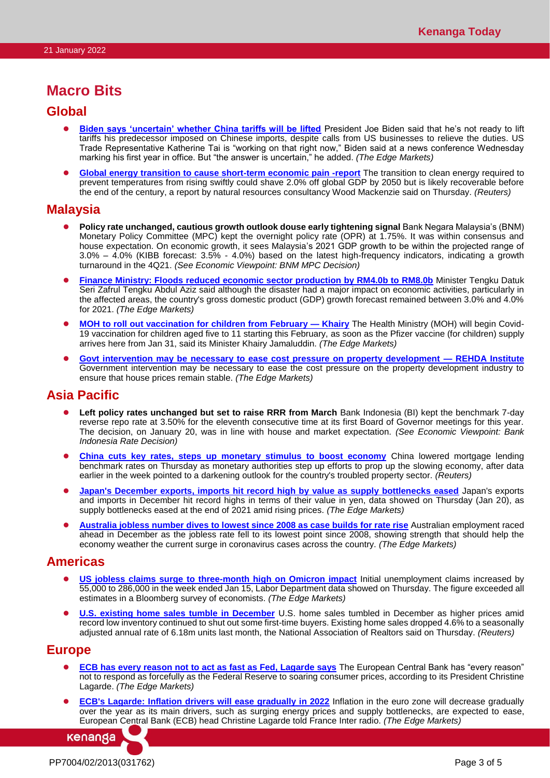## **Macro Bits**

## **Global**

- ⚫ **[Biden says 'uncertain' whether China tariffs will be lifted](https://www.theedgemarkets.com/article/biden-says-uncertain-whether-china-tariffs-will-be-lifted)** President Joe Biden said that he's not ready to lift tariffs his predecessor imposed on Chinese imports, despite calls from US businesses to relieve the duties. US Trade Representative Katherine Tai is "working on that right now," Biden said at a news conference Wednesday marking his first year in office. But "the answer is uncertain," he added. *(The Edge Markets)*
- **[Global energy transition to cause short-term economic pain -report](https://www.reuters.com/business/energy/global-energy-transition-cause-short-term-economic-pain-report-2022-01-20/)** The transition to clean energy required to prevent temperatures from rising swiftly could shave 2.0% off global GDP by 2050 but is likely recoverable before the end of the century, a report by natural resources consultancy Wood Mackenzie said on Thursday. *(Reuters)*

## **Malaysia**

- ⚫ **Policy rate unchanged, cautious growth outlook douse early tightening signal** Bank Negara Malaysia's (BNM) Monetary Policy Committee (MPC) kept the overnight policy rate (OPR) at 1.75%. It was within consensus and house expectation. On economic growth, it sees Malaysia's 2021 GDP growth to be within the projected range of 3.0% – 4.0% (KIBB forecast: 3.5% - 4.0%) based on the latest high-frequency indicators, indicating a growth turnaround in the 4Q21. *(See Economic Viewpoint: BNM MPC Decision)*
- **[Finance Ministry: Floods reduced economic sector production by RM4.0b to RM8.0b](https://www.theedgemarkets.com/article/finance-ministry-floods-reduced-economic-sector-production-rm4b-rm8b)** Minister Tengku Datuk Seri Zafrul Tengku Abdul Aziz said although the disaster had a major impact on economic activities, particularly in the affected areas, the country's gross domestic product (GDP) growth forecast remained between 3.0% and 4.0% for 2021. *(The Edge Markets)*
- ⚫ **[MOH to roll out vaccination for children from February —](https://www.theedgemarkets.com/article/moh-roll-out-vaccination-children-february-%E2%80%94-khairy) Khairy** The Health Ministry (MOH) will begin Covid-19 vaccination for children aged five to 11 starting this February, as soon as the Pfizer vaccine (for children) supply arrives here from Jan 31, said its Minister Khairy Jamaluddin. *(The Edge Markets)*
- ⚫ **[Govt intervention may be necessary to ease cost pressure on property development —](https://www.theedgemarkets.com/article/govt-intervention-may-be-necessary-ease-cost-pressure-property-development-%E2%80%94-rehda-institute) REHDA Institute** Government intervention may be necessary to ease the cost pressure on the property development industry to ensure that house prices remain stable. *(The Edge Markets)*

## **Asia Pacific**

- ⚫ **Left policy rates unchanged but set to raise RRR from March** Bank Indonesia (BI) kept the benchmark 7-day reverse repo rate at 3.50% for the eleventh consecutive time at its first Board of Governor meetings for this year. The decision, on January 20, was in line with house and market expectation. *(See Economic Viewpoint: Bank Indonesia Rate Decision)*
- **[China cuts key rates, steps up monetary stimulus to boost economy](https://www.reuters.com/markets/europe/china-cuts-mortgage-reference-rate-first-time-nearly-two-years-2022-01-20/)** China lowered mortgage lending benchmark rates on Thursday as monetary authorities step up efforts to prop up the slowing economy, after data earlier in the week pointed to a darkening outlook for the country's troubled property sector. *(Reuters)*
- ⚫ **[Japan's December exports, imports hit record high by value as supply bottlenecks eased](https://www.theedgemarkets.com/article/japans-december-exports-grew-faster-expected)** Japan's exports and imports in December hit record highs in terms of their value in yen, data showed on Thursday (Jan 20), as supply bottlenecks eased at the end of 2021 amid rising prices. *(The Edge Markets)*
- ⚫ **[Australia jobless number dives to lowest since](https://www.theedgemarkets.com/article/australia-jobless-number-dives-lowest-2008-case-builds-rate-rise) 2008 as case builds for rate rise** Australian employment raced ahead in December as the jobless rate fell to its lowest point since 2008, showing strength that should help the economy weather the current surge in coronavirus cases across the country. *(The Edge Markets)*

## **Americas**

- **[US jobless claims surge to three-month high on Omicron impact](https://www.theedgemarkets.com/article/us-jobless-claims-surge-threemonth-high-omicron-impact)** Initial unemployment claims increased by 55,000 to 286,000 in the week ended Jan 15, Labor Department data showed on Thursday. The figure exceeded all estimates in a Bloomberg survey of economists. *(The Edge Markets)*
- **[U.S. existing home sales tumble in December](https://www.reuters.com/world/us/us-existing-home-sales-tumble-december-2022-01-20/)** U.S. home sales tumbled in December as higher prices amid record low inventory continued to shut out some first-time buyers. Existing home sales dropped 4.6% to a seasonally adjusted annual rate of 6.18m units last month, the National Association of Realtors said on Thursday. *(Reuters)*

## **Europe**

- **[ECB has every reason not to act as fast as Fed, Lagarde says](https://www.theedgemarkets.com/article/ecb-has-every-reason-not-act-fast-fed-lagarde-says)** The European Central Bank has "every reason" not to respond as forcefully as the Federal Reserve to soaring consumer prices, according to its President Christine Lagarde. *(The Edge Markets)*
- ⚫ **[ECB's Lagarde: Inflation drivers will ease gradually in 2022](https://www.theedgemarkets.com/article/ecbs-lagarde-inflation-drivers-will-ease-gradually-2022)** Inflation in the euro zone will decrease gradually over the year as its main drivers, such as surging energy prices and supply bottlenecks, are expected to ease, European Central Bank (ECB) head Christine Lagarde told France Inter radio. *(The Edge Markets)*

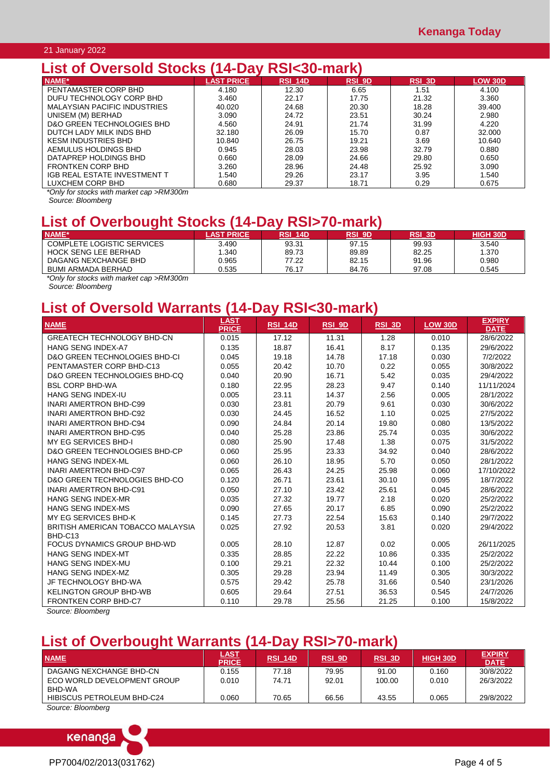## 21 January 2022

## **List of Oversold Stocks (14-Day RSI<30-mark)**

| NAME*                               | <b>LAST PRICE</b> | RSI 14D | <b>RSI 9D</b> | <b>RSI 3D</b> | <b>LOW 30D</b> |
|-------------------------------------|-------------------|---------|---------------|---------------|----------------|
| PENTAMASTER CORP BHD                | 4.180             | 12.30   | 6.65          | 1.51          | 4.100          |
| DUFU TECHNOLOGY CORP BHD            | 3.460             | 22.17   | 17.75         | 21.32         | 3.360          |
| <b>MALAYSIAN PACIFIC INDUSTRIES</b> | 40.020            | 24.68   | 20.30         | 18.28         | 39.400         |
| UNISEM (M) BERHAD                   | 3.090             | 24.72   | 23.51         | 30.24         | 2.980          |
| D&O GREEN TECHNOLOGIES BHD          | 4.560             | 24.91   | 21.74         | 31.99         | 4.220          |
| DUTCH LADY MILK INDS BHD            | 32.180            | 26.09   | 15.70         | 0.87          | 32,000         |
| <b>KESM INDUSTRIES BHD</b>          | 10.840            | 26.75   | 19.21         | 3.69          | 10.640         |
| AEMULUS HOLDINGS BHD                | 0.945             | 28.03   | 23.98         | 32.79         | 0.880          |
| DATAPREP HOLDINGS BHD               | 0.660             | 28.09   | 24.66         | 29.80         | 0.650          |
| <b>FRONTKEN CORP BHD</b>            | 3.260             | 28.96   | 24.48         | 25.92         | 3.090          |
| IGB REAL ESTATE INVESTMENT T        | 1.540             | 29.26   | 23.17         | 3.95          | 1.540          |
| LUXCHEM CORP BHD                    | 0.680             | 29.37   | 18.71         | 0.29          | 0.675          |

*\*Only for stocks with market cap >RM300m*

*Source: Bloomberg*

## **List of Overbought Stocks (14-Day RSI>70-mark)**

| NAME*                      | <b>AST PRICE</b> | RSI<br><b>14D</b> | RSI_9D | RSI 3D | <b>HIGH 30D</b> |
|----------------------------|------------------|-------------------|--------|--------|-----------------|
| COMPLETE LOGISTIC SERVICES | 3.490            | 93.31             | 97.15  | 99.93  | 3.540           |
| HOCK SENG LEE BERHAD       | 1.340            | 89.73             | 89.89  | 82.25  | 1.370           |
| DAGANG NEXCHANGE BHD       | 0.965            | 77.22             | 82.15  | 91.96  | 0.980           |
| <b>BUMI ARMADA BERHAD</b>  | 0.535            | 76.17             | 84.76  | 97.08  | 0.545           |
| .<br>.<br>____             |                  |                   |        |        |                 |

*\*Only for stocks with market cap >RM300m*

*Source: Bloomberg*

## **List of Oversold Warrants (14-Day RSI<30-mark)**

|                                          | <b>LAST</b>  |                |        |        |                | <b>EXPIRY</b> |
|------------------------------------------|--------------|----------------|--------|--------|----------------|---------------|
| <b>NAME</b>                              | <b>PRICE</b> | <b>RSI_14D</b> | RSI_9D | RSI_3D | <b>LOW 30D</b> | <b>DATE</b>   |
| <b>GREATECH TECHNOLOGY BHD-CN</b>        | 0.015        | 17.12          | 11.31  | 1.28   | 0.010          | 28/6/2022     |
| <b>HANG SENG INDEX-A7</b>                | 0.135        | 18.87          | 16.41  | 8.17   | 0.135          | 29/6/2022     |
| <b>D&amp;O GREEN TECHNOLOGIES BHD-CI</b> | 0.045        | 19.18          | 14.78  | 17.18  | 0.030          | 7/2/2022      |
| PENTAMASTER CORP BHD-C13                 | 0.055        | 20.42          | 10.70  | 0.22   | 0.055          | 30/8/2022     |
| D&O GREEN TECHNOLOGIES BHD-CO            | 0.040        | 20.90          | 16.71  | 5.42   | 0.035          | 29/4/2022     |
| <b>BSL CORP BHD-WA</b>                   | 0.180        | 22.95          | 28.23  | 9.47   | 0.140          | 11/11/2024    |
| HANG SENG INDEX-IU                       | 0.005        | 23.11          | 14.37  | 2.56   | 0.005          | 28/1/2022     |
| <b>INARI AMERTRON BHD-C99</b>            | 0.030        | 23.81          | 20.79  | 9.61   | 0.030          | 30/6/2022     |
| <b>INARI AMERTRON BHD-C92</b>            | 0.030        | 24.45          | 16.52  | 1.10   | 0.025          | 27/5/2022     |
| <b>INARI AMERTRON BHD-C94</b>            | 0.090        | 24.84          | 20.14  | 19.80  | 0.080          | 13/5/2022     |
| <b>INARI AMERTRON BHD-C95</b>            | 0.040        | 25.28          | 23.86  | 25.74  | 0.035          | 30/6/2022     |
| MY EG SERVICES BHD-I                     | 0.080        | 25.90          | 17.48  | 1.38   | 0.075          | 31/5/2022     |
| D&O GREEN TECHNOLOGIES BHD-CP            | 0.060        | 25.95          | 23.33  | 34.92  | 0.040          | 28/6/2022     |
| <b>HANG SENG INDEX-ML</b>                | 0.060        | 26.10          | 18.95  | 5.70   | 0.050          | 28/1/2022     |
| <b>INARI AMERTRON BHD-C97</b>            | 0.065        | 26.43          | 24.25  | 25.98  | 0.060          | 17/10/2022    |
| <b>D&amp;O GREEN TECHNOLOGIES BHD-CO</b> | 0.120        | 26.71          | 23.61  | 30.10  | 0.095          | 18/7/2022     |
| <b>INARI AMERTRON BHD-C91</b>            | 0.050        | 27.10          | 23.42  | 25.61  | 0.045          | 28/6/2022     |
| HANG SENG INDEX-MR                       | 0.035        | 27.32          | 19.77  | 2.18   | 0.020          | 25/2/2022     |
| HANG SENG INDEX-MS                       | 0.090        | 27.65          | 20.17  | 6.85   | 0.090          | 25/2/2022     |
| MY EG SERVICES BHD-K                     | 0.145        | 27.73          | 22.54  | 15.63  | 0.140          | 29/7/2022     |
| BRITISH AMERICAN TOBACCO MALAYSIA        | 0.025        | 27.92          | 20.53  | 3.81   | 0.020          | 29/4/2022     |
| BHD-C13                                  |              |                |        |        |                |               |
| FOCUS DYNAMICS GROUP BHD-WD              | 0.005        | 28.10          | 12.87  | 0.02   | 0.005          | 26/11/2025    |
| HANG SENG INDEX-MT                       | 0.335        | 28.85          | 22.22  | 10.86  | 0.335          | 25/2/2022     |
| HANG SENG INDEX-MU                       | 0.100        | 29.21          | 22.32  | 10.44  | 0.100          | 25/2/2022     |
| <b>HANG SENG INDEX-MZ</b>                | 0.305        | 29.28          | 23.94  | 11.49  | 0.305          | 30/3/2022     |
| JF TECHNOLOGY BHD-WA                     | 0.575        | 29.42          | 25.78  | 31.66  | 0.540          | 23/1/2026     |
| <b>KELINGTON GROUP BHD-WB</b>            | 0.605        | 29.64          | 27.51  | 36.53  | 0.545          | 24/7/2026     |
| <b>FRONTKEN CORP BHD-C7</b>              | 0.110        | 29.78          | 25.56  | 21.25  | 0.100          | 15/8/2022     |

*Source: Bloomberg*

## **List of Overbought Warrants (14-Day RSI>70-mark)**

| <b>NAME</b>                           | <u>LAST</u><br><b>PRICE</b> | <b>RSI 14D</b> | <b>RSI 9D</b> | <b>RSI 3D</b> | <b>HIGH 30D</b> | <b>EXPIRY</b><br><b>DATE</b> |
|---------------------------------------|-----------------------------|----------------|---------------|---------------|-----------------|------------------------------|
| DAGANG NEXCHANGE BHD-CN               | 0.155                       | 77.18          | 79.95         | 91.00         | 0.160           | 30/8/2022                    |
| ECO WORLD DEVELOPMENT GROUP<br>BHD-WA | 0.010                       | 74.71          | 92.01         | 100.00        | 0.010           | 26/3/2022                    |
| HIBISCUS PETROLEUM BHD-C24            | 0.060                       | 70.65          | 66.56         | 43.55         | 0.065           | 29/8/2022                    |

*Source: Bloomberg*